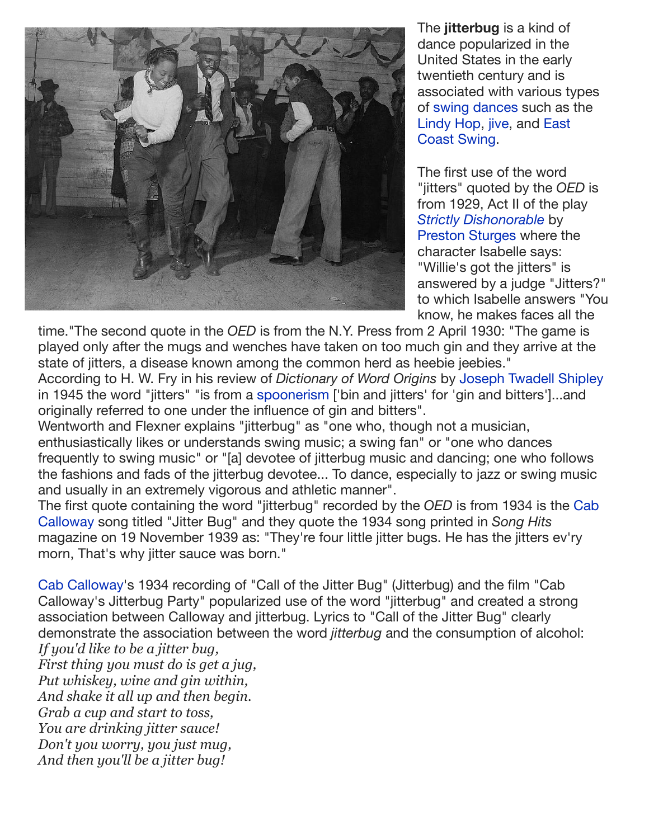

The **jitterbug** is a kind of dance popularized in the United States in the early twentieth century and is associated with various types of [swing dances](https://en.m.wikipedia.org/wiki/Swing_dance) such as the [Lindy Hop,](https://en.m.wikipedia.org/wiki/Lindy_Hop) [jive](https://en.m.wikipedia.org/wiki/Jive_(dance)), and [East](https://en.m.wikipedia.org/wiki/East_Coast_Swing)  [Coast Swing.](https://en.m.wikipedia.org/wiki/East_Coast_Swing)

The first use of the word "jitters" quoted by the *OED* is from 1929, Act II of the play *[Strictly Dishonorable](https://en.m.wikipedia.org/wiki/Strictly_Dishonorable_(play))* by [Preston Sturges](https://en.m.wikipedia.org/wiki/Preston_Sturges) where the character Isabelle says: "Willie's got the jitters" is answered by a judge "Jitters?" to which Isabelle answers "You know, he makes faces all the

time."The second quote in the *OED* is from the N.Y. Press from 2 April 1930: "The game is played only after the mugs and wenches have taken on too much gin and they arrive at the state of jitters, a disease known among the common herd as heebie jeebies."

According to H. W. Fry in his review of *Dictionary of Word Origins* by [Joseph Twadell Shipley](https://en.m.wikipedia.org/wiki/Joseph_Twadell_Shipley) in 1945 the word "jitters" "is from a [spoonerism](https://en.m.wikipedia.org/wiki/Spoonerism) ['bin and jitters' for 'gin and bitters']...and originally referred to one under the influence of gin and bitters".

Wentworth and Flexner explains "jitterbug" as "one who, though not a musician, enthusiastically likes or understands swing music; a swing fan" or "one who dances frequently to swing music" or "[a] devotee of jitterbug music and dancing; one who follows the fashions and fads of the jitterbug devotee... To dance, especially to jazz or swing music and usually in an extremely vigorous and athletic manner".

The first quote containing the word "jitterbug" recorded by the *OED* is from 1934 is the [Cab](https://en.m.wikipedia.org/wiki/Cab_Calloway)  [Calloway](https://en.m.wikipedia.org/wiki/Cab_Calloway) song titled "Jitter Bug" and they quote the 1934 song printed in *Song Hits* magazine on 19 November 1939 as: "They're four little jitter bugs. He has the jitters ev'ry morn, That's why jitter sauce was born."

[Cab Calloway](https://en.m.wikipedia.org/wiki/Cab_Calloway)'s 1934 recording of "Call of the Jitter Bug" (Jitterbug) and the film "Cab Calloway's Jitterbug Party" popularized use of the word "jitterbug" and created a strong association between Calloway and jitterbug. Lyrics to "Call of the Jitter Bug" clearly demonstrate the association between the word *jitterbug* and the consumption of alcohol: *If you'd like to be a jitter bug, First thing you must do is get a jug, Put whiskey, wine and gin within, And shake it all up and then begin. Grab a cup and start to toss, You are drinking jitter sauce! Don't you worry, you just mug, And then you'll be a jitter bug!*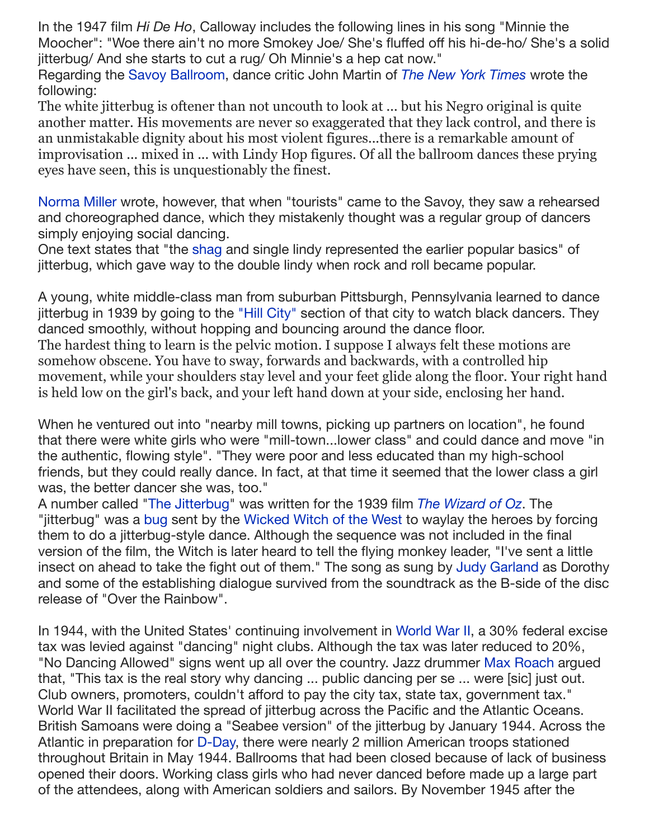In the 1947 film *Hi De Ho*, Calloway includes the following lines in his song "Minnie the Moocher": "Woe there ain't no more Smokey Joe/ She's fluffed off his hi-de-ho/ She's a solid jitterbug/ And she starts to cut a rug/ Oh Minnie's a hep cat now."

Regarding the [Savoy Ballroom](https://en.m.wikipedia.org/wiki/Savoy_Ballroom), dance critic John Martin of *[The New York Times](https://en.m.wikipedia.org/wiki/The_New_York_Times)* wrote the following:

The white jitterbug is oftener than not uncouth to look at ... but his Negro original is quite another matter. His movements are never so exaggerated that they lack control, and there is an unmistakable dignity about his most violent figures...there is a remarkable amount of improvisation ... mixed in ... with Lindy Hop figures. Of all the ballroom dances these prying eyes have seen, this is unquestionably the finest.

[Norma Miller](https://en.m.wikipedia.org/wiki/Norma_Miller) wrote, however, that when "tourists" came to the Savoy, they saw a rehearsed and choreographed dance, which they mistakenly thought was a regular group of dancers simply enjoying social dancing.

One text states that "the [shag](https://en.m.wikipedia.org/wiki/Carolina_shag) and single lindy represented the earlier popular basics" of jitterbug, which gave way to the double lindy when rock and roll became popular.

A young, white middle-class man from suburban Pittsburgh, Pennsylvania learned to dance jitterbug in 1939 by going to the ["Hill City"](https://en.m.wikipedia.org/wiki/Hill_District_(Pittsburgh)) section of that city to watch black dancers. They danced smoothly, without hopping and bouncing around the dance floor. The hardest thing to learn is the pelvic motion. I suppose I always felt these motions are somehow obscene. You have to sway, forwards and backwards, with a controlled hip movement, while your shoulders stay level and your feet glide along the floor. Your right hand is held low on the girl's back, and your left hand down at your side, enclosing her hand.

When he ventured out into "nearby mill towns, picking up partners on location", he found that there were white girls who were "mill-town...lower class" and could dance and move "in the authentic, flowing style". "They were poor and less educated than my high-school friends, but they could really dance. In fact, at that time it seemed that the lower class a girl was, the better dancer she was, too."

A number called "[The Jitterbug"](https://en.m.wikipedia.org/wiki/The_Jitterbug) was written for the 1939 film *[The Wizard of Oz](https://en.m.wikipedia.org/wiki/The_Wizard_of_Oz_(1939_film))*. The "jitter[bug](https://en.m.wikipedia.org/wiki/Hemiptera)" was a bug sent by the [Wicked Witch of the West](https://en.m.wikipedia.org/wiki/Wicked_Witch_of_the_West) to waylay the heroes by forcing them to do a jitterbug-style dance. Although the sequence was not included in the final version of the film, the Witch is later heard to tell the flying monkey leader, "I've sent a little insect on ahead to take the fight out of them." The song as sung by [Judy Garland](https://en.m.wikipedia.org/wiki/Judy_Garland) as Dorothy and some of the establishing dialogue survived from the soundtrack as the B-side of the disc release of "Over the Rainbow".

In 1944, with the United States' continuing involvement in [World War II](https://en.m.wikipedia.org/wiki/World_War_II), a 30% federal excise tax was levied against "dancing" night clubs. Although the tax was later reduced to 20%, "No Dancing Allowed" signs went up all over the country. Jazz drummer [Max Roach](https://en.m.wikipedia.org/wiki/Max_Roach) argued that, "This tax is the real story why dancing ... public dancing per se ... were [sic] just out. Club owners, promoters, couldn't afford to pay the city tax, state tax, government tax." World War II facilitated the spread of jitterbug across the Pacific and the Atlantic Oceans. British Samoans were doing a "Seabee version" of the jitterbug by January 1944. Across the Atlantic in preparation for [D-Day,](https://en.m.wikipedia.org/wiki/D-Day) there were nearly 2 million American troops stationed throughout Britain in May 1944. Ballrooms that had been closed because of lack of business opened their doors. Working class girls who had never danced before made up a large part of the attendees, along with American soldiers and sailors. By November 1945 after the